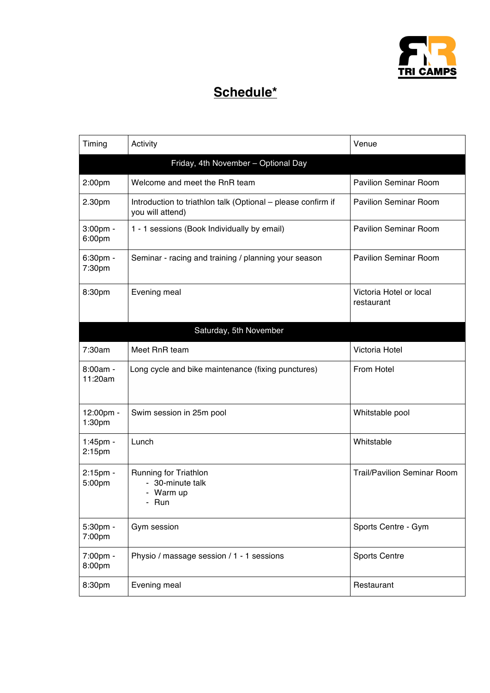

## **Schedule\***

| Timing                | Activity                                                                         | Venue                                 |
|-----------------------|----------------------------------------------------------------------------------|---------------------------------------|
|                       | Friday, 4th November - Optional Day                                              |                                       |
| 2:00pm                | Welcome and meet the RnR team                                                    | <b>Pavilion Seminar Room</b>          |
| 2.30pm                | Introduction to triathlon talk (Optional - please confirm if<br>you will attend) | <b>Pavilion Seminar Room</b>          |
| 3:00pm -<br>6:00pm    | 1 - 1 sessions (Book Individually by email)                                      | <b>Pavilion Seminar Room</b>          |
| 6:30pm -<br>7:30pm    | Seminar - racing and training / planning your season                             | <b>Pavilion Seminar Room</b>          |
| 8:30pm                | Evening meal                                                                     | Victoria Hotel or local<br>restaurant |
|                       | Saturday, 5th November                                                           |                                       |
| 7:30am                | Meet RnR team                                                                    | Victoria Hotel                        |
| $8:00am -$<br>11:20am | Long cycle and bike maintenance (fixing punctures)                               | From Hotel                            |
| 12:00pm -<br>1:30pm   | Swim session in 25m pool                                                         | Whitstable pool                       |
| 1:45pm -<br>2:15pm    | Lunch                                                                            | Whitstable                            |
| 2:15pm -<br>5:00pm    | Running for Triathlon<br>- 30-minute talk<br>- Warm up<br>Run                    | <b>Trail/Pavilion Seminar Room</b>    |
| 5:30pm -<br>7:00pm    | Gym session                                                                      | Sports Centre - Gym                   |
| 7:00pm -<br>8:00pm    | Physio / massage session / 1 - 1 sessions                                        | <b>Sports Centre</b>                  |
| 8:30pm                | Evening meal                                                                     | Restaurant                            |